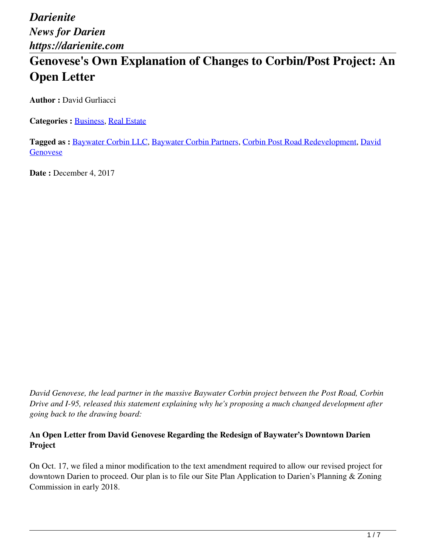# **Genovese's Own Explanation of Changes to Corbin/Post Project: An Open Letter**

**Author :** David Gurliacci

**Categories : [Business,](https://darienite.com/category/business) Real Estate** 

**Tagged as :** Baywater Corbin LLC, Baywater Corbin Partners, Corbin Post Road Redevelopment, David Genovese

**Date : December 4, 2017** 

*David Genovese, the lead partner in the massive Baywater Corbin project between the Post Road, Corbin Drive and I-95, released this statement explaining why he's proposing a much changed development after going back to the drawing board:*

#### **An Open Letter from David Genovese Regarding the Redesign of Baywater's Downtown Darien Project**

On Oct. 17, we filed a minor modification to the text amendment required to allow our revised project for downtown Darien to proceed. Our plan is to file our Site Plan Application to Darien's Planning & Zoning Commission in early 2018.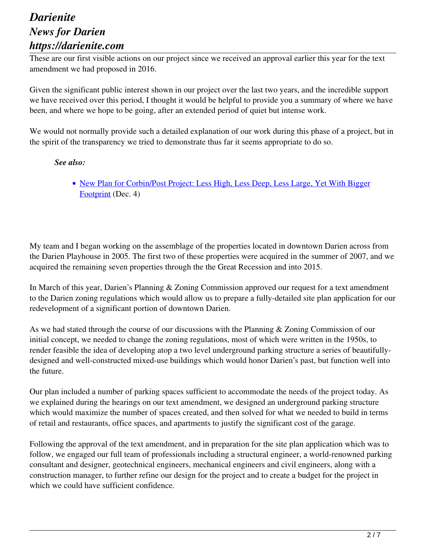These are our first visible actions on our project since we received an approval earlier this year for the text amendment we had proposed in 2016.

Given the significant public interest shown in our project over the last two years, and the incredible support we have received over this period, I thought it would be helpful to provide you a summary of where we have been, and where we hope to be going, after an extended period of quiet but intense work.

We would not normally provide such a detailed explanation of our work during this phase of a project, but in the spirit of the transparency we tried to demonstrate thus far it seems appropriate to do so.

#### *See also:*

• New Plan for Corbin/Post Project: Less High, Less Deep, Less Large, Yet With Bigger Footprint (Dec. 4)

My team and I began working on the assemblage of the properties located in downtown Darien across from the Darien Playhouse in 2005. The first two of these properties were acquired in the summer of 2007, and we acquired the remaining seven properties through the the Great Recession and into 2015.

In March of this year, Darien's Planning & Zoning Commission approved our request for a text amendment to the Darien zoning regulations which would allow us to prepare a fully-detailed site plan application for our redevelopment of a significant portion of downtown Darien.

As we had stated through the course of our discussions with the Planning & Zoning Commission of our initial concept, we needed to change the zoning regulations, most of which were written in the 1950s, to render feasible the idea of developing atop a two level underground parking structure a series of beautifullydesigned and well-constructed mixed-use buildings which would honor Darien's past, but function well into the future.

Our plan included a number of parking spaces sufficient to accommodate the needs of the project today. As we explained during the hearings on our text amendment, we designed an underground parking structure which would maximize the number of spaces created, and then solved for what we needed to build in terms of retail and restaurants, office spaces, and apartments to justify the significant cost of the garage.

Following the approval of the text amendment, and in preparation for the site plan application which was to follow, we engaged our full team of professionals including a structural engineer, a world-renowned parking consultant and designer, geotechnical engineers, mechanical engineers and civil engineers, along with a construction manager, to further refine our design for the project and to create a budget for the project in which we could have sufficient confidence.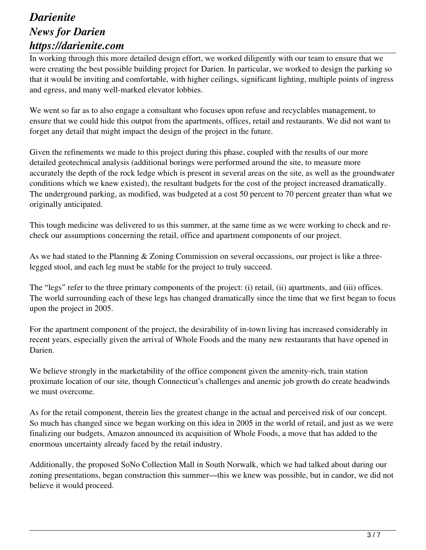In working through this more detailed design effort, we worked diligently with our team to ensure that we were creating the best possible building project for Darien. In particular, we worked to design the parking so that it would be inviting and comfortable, with higher ceilings, significant lighting, multiple points of ingress and egress, and many well-marked elevator lobbies.

We went so far as to also engage a consultant who focuses upon refuse and recyclables management, to ensure that we could hide this output from the apartments, offices, retail and restaurants. We did not want to forget any detail that might impact the design of the project in the future.

Given the refinements we made to this project during this phase, coupled with the results of our more detailed geotechnical analysis (additional borings were performed around the site, to measure more accurately the depth of the rock ledge which is present in several areas on the site, as well as the groundwater conditions which we knew existed), the resultant budgets for the cost of the project increased dramatically. The underground parking, as modified, was budgeted at a cost 50 percent to 70 percent greater than what we originally anticipated.

This tough medicine was delivered to us this summer, at the same time as we were working to check and recheck our assumptions concerning the retail, office and apartment components of our project.

As we had stated to the Planning & Zoning Commission on several occassions, our project is like a threelegged stool, and each leg must be stable for the project to truly succeed.

The "legs" refer to the three primary components of the project: (i) retail, (ii) apartments, and (iii) offices. The world surrounding each of these legs has changed dramatically since the time that we first began to focus upon the project in 2005.

For the apartment component of the project, the desirability of in-town living has increased considerably in recent years, especially given the arrival of Whole Foods and the many new restaurants that have opened in Darien.

We believe strongly in the marketability of the office component given the amenity-rich, train station proximate location of our site, though Connecticut's challenges and anemic job growth do create headwinds we must overcome.

As for the retail component, therein lies the greatest change in the actual and perceived risk of our concept. So much has changed since we began working on this idea in 2005 in the world of retail, and just as we were finalizing our budgets, Amazon announced its acquisition of Whole Foods, a move that has added to the enormous uncertainty already faced by the retail industry.

Additionally, the proposed SoNo Collection Mall in South Norwalk, which we had talked about during our zoning presentations, began construction this summer—this we knew was possible, but in candor, we did not believe it would proceed.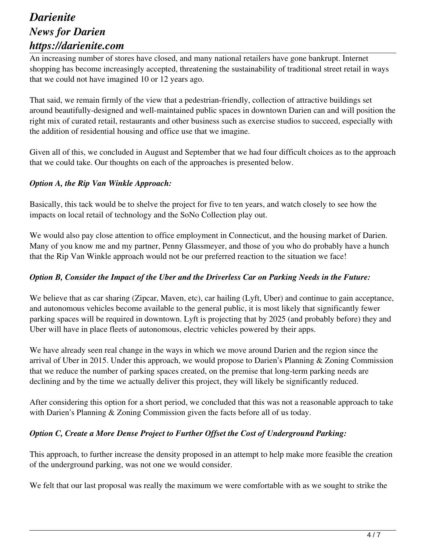An increasing number of stores have closed, and many national retailers have gone bankrupt. Internet shopping has become increasingly accepted, threatening the sustainability of traditional street retail in ways that we could not have imagined 10 or 12 years ago.

That said, we remain firmly of the view that a pedestrian-friendly, collection of attractive buildings set around beautifully-designed and well-maintained public spaces in downtown Darien can and will position the right mix of curated retail, restaurants and other business such as exercise studios to succeed, especially with the addition of residential housing and office use that we imagine.

Given all of this, we concluded in August and September that we had four difficult choices as to the approach that we could take. Our thoughts on each of the approaches is presented below.

#### *Option A, the Rip Van Winkle Approach:*

Basically, this tack would be to shelve the project for five to ten years, and watch closely to see how the impacts on local retail of technology and the SoNo Collection play out.

We would also pay close attention to office employment in Connecticut, and the housing market of Darien. Many of you know me and my partner, Penny Glassmeyer, and those of you who do probably have a hunch that the Rip Van Winkle approach would not be our preferred reaction to the situation we face!

#### *Option B, Consider the Impact of the Uber and the Driverless Car on Parking Needs in the Future:*

We believe that as car sharing (Zipcar, Maven, etc), car hailing (Lyft, Uber) and continue to gain acceptance, and autonomous vehicles become available to the general public, it is most likely that significantly fewer parking spaces will be required in downtown. Lyft is projecting that by 2025 (and probably before) they and Uber will have in place fleets of autonomous, electric vehicles powered by their apps.

We have already seen real change in the ways in which we move around Darien and the region since the arrival of Uber in 2015. Under this approach, we would propose to Darien's Planning & Zoning Commission that we reduce the number of parking spaces created, on the premise that long-term parking needs are declining and by the time we actually deliver this project, they will likely be significantly reduced.

After considering this option for a short period, we concluded that this was not a reasonable approach to take with Darien's Planning & Zoning Commission given the facts before all of us today.

#### *Option C, Create a More Dense Project to Further Offset the Cost of Underground Parking:*

This approach, to further increase the density proposed in an attempt to help make more feasible the creation of the underground parking, was not one we would consider.

We felt that our last proposal was really the maximum we were comfortable with as we sought to strike the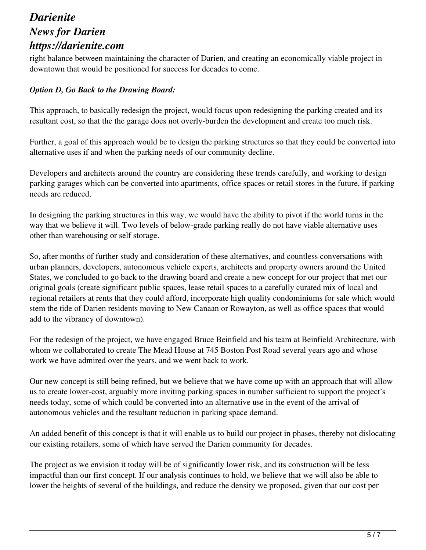right balance between maintaining the character of Darien, and creating an economically viable project in downtown that would be positioned for success for decades to come.

#### *Option D, Go Back to the Drawing Board:*

This approach, to basically redesign the project, would focus upon redesigning the parking created and its resultant cost, so that the the garage does not overly-burden the development and create too much risk.

Further, a goal of this approach would be to design the parking structures so that they could be converted into alternative uses if and when the parking needs of our community decline.

Developers and architects around the country are considering these trends carefully, and working to design parking garages which can be converted into apartments, office spaces or retail stores in the future, if parking needs are reduced.

In designing the parking structures in this way, we would have the ability to pivot if the world turns in the way that we believe it will. Two levels of below-grade parking really do not have viable alternative uses other than warehousing or self storage.

So, after months of further study and consideration of these alternatives, and countless conversations with urban planners, developers, autonomous vehicle experts, architects and property owners around the United States, we concluded to go back to the drawing board and create a new concept for our project that met our original goals (create significant public spaces, lease retail spaces to a carefully curated mix of local and regional retailers at rents that they could afford, incorporate high quality condominiums for sale which would stem the tide of Darien residents moving to New Canaan or Rowayton, as well as office spaces that would add to the vibrancy of downtown).

For the redesign of the project, we have engaged Bruce Beinfield and his team at Beinfield Architecture, with whom we collaborated to create The Mead House at 745 Boston Post Road several years ago and whose work we have admired over the years, and we went back to work.

Our new concept is still being refined, but we believe that we have come up with an approach that will allow us to create lower-cost, arguably more inviting parking spaces in number sufficient to support the project's needs today, some of which could be converted into an alternative use in the event of the arrival of autonomous vehicles and the resultant reduction in parking space demand.

An added benefit of this concept is that it will enable us to build our project in phases, thereby not dislocating our existing retailers, some of which have served the Darien community for decades.

The project as we envision it today will be of significantly lower risk, and its construction will be less impactful than our first concept. If our analysis continues to hold, we believe that we will also be able to lower the heights of several of the buildings, and reduce the density we proposed, given that our cost per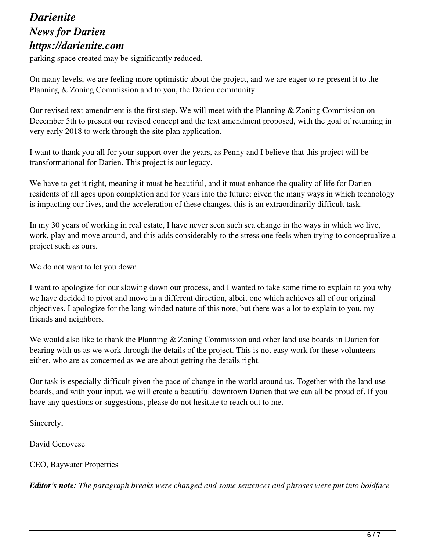parking space created may be significantly reduced.

On many levels, we are feeling more optimistic about the project, and we are eager to re-present it to the Planning & Zoning Commission and to you, the Darien community.

Our revised text amendment is the first step. We will meet with the Planning & Zoning Commission on December 5th to present our revised concept and the text amendment proposed, with the goal of returning in very early 2018 to work through the site plan application.

I want to thank you all for your support over the years, as Penny and I believe that this project will be transformational for Darien. This project is our legacy.

We have to get it right, meaning it must be beautiful, and it must enhance the quality of life for Darien residents of all ages upon completion and for years into the future; given the many ways in which technology is impacting our lives, and the acceleration of these changes, this is an extraordinarily difficult task.

In my 30 years of working in real estate, I have never seen such sea change in the ways in which we live, work, play and move around, and this adds considerably to the stress one feels when trying to conceptualize a project such as ours.

We do not want to let you down.

I want to apologize for our slowing down our process, and I wanted to take some time to explain to you why we have decided to pivot and move in a different direction, albeit one which achieves all of our original objectives. I apologize for the long-winded nature of this note, but there was a lot to explain to you, my friends and neighbors.

We would also like to thank the Planning & Zoning Commission and other land use boards in Darien for bearing with us as we work through the details of the project. This is not easy work for these volunteers either, who are as concerned as we are about getting the details right.

Our task is especially difficult given the pace of change in the world around us. Together with the land use boards, and with your input, we will create a beautiful downtown Darien that we can all be proud of. If you have any questions or suggestions, please do not hesitate to reach out to me.

Sincerely,

David Genovese

CEO, Baywater Properties

*Editor's note: The paragraph breaks were changed and some sentences and phrases were put into boldface*